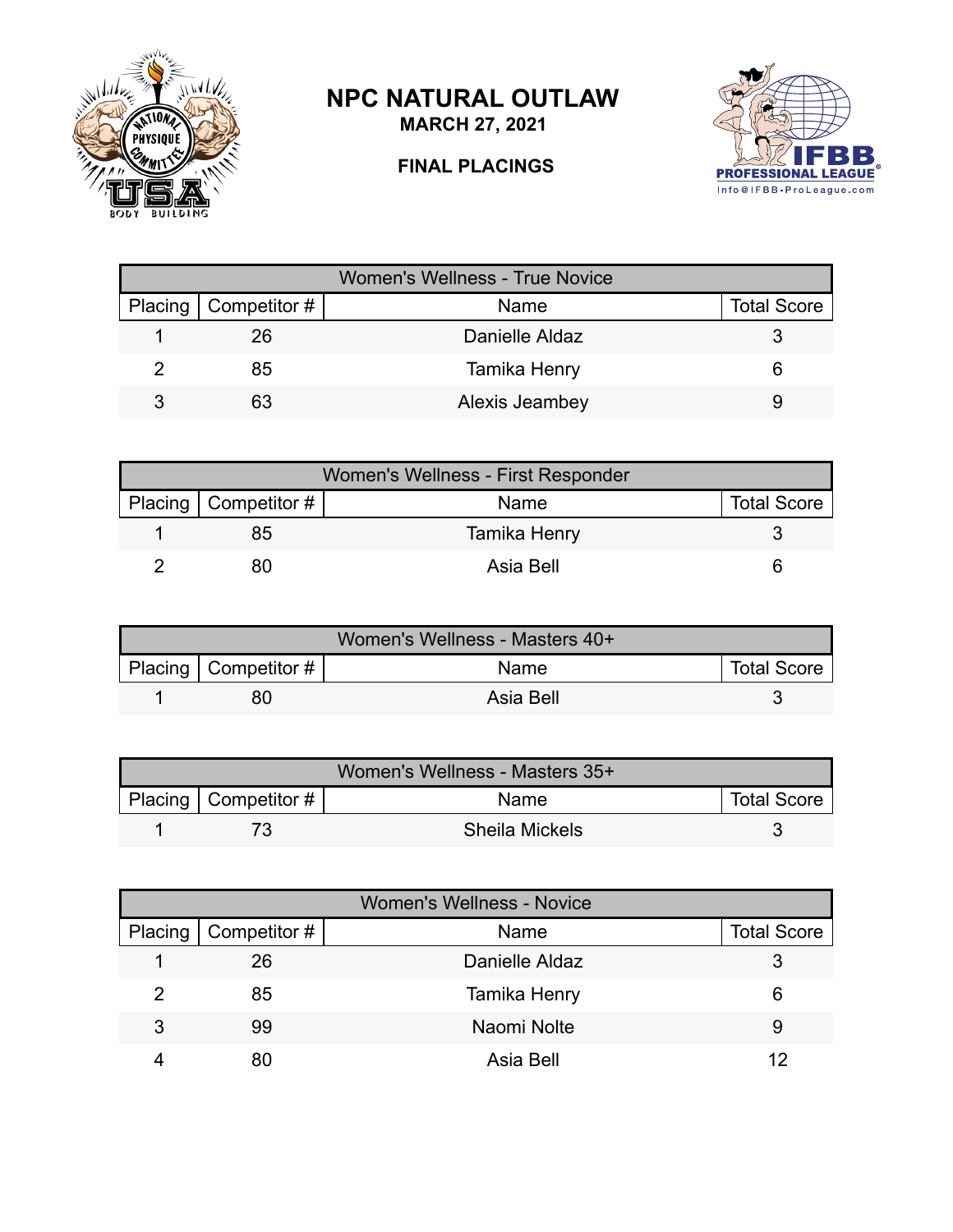

## **NPC NATURAL OUTLAW**

**MARCH 27, 2021**

## **FINAL PLACINGS**



|                          | <b>Women's Wellness - True Novice</b> |                    |
|--------------------------|---------------------------------------|--------------------|
| Placing   Competitor $#$ | Name                                  | <b>Total Score</b> |
| 26                       | Danielle Aldaz                        |                    |
| 85                       | Tamika Henry                          |                    |
| 63                       | Alexis Jeambey                        |                    |

| Women's Wellness - First Responder |                          |              |                    |  |
|------------------------------------|--------------------------|--------------|--------------------|--|
|                                    | Placing   Competitor $#$ | Name         | <b>Total Score</b> |  |
|                                    | 85                       | Tamika Henry |                    |  |
|                                    | 80                       | Asia Bell    |                    |  |

| Women's Wellness - Masters 40+ |                        |             |                    |  |
|--------------------------------|------------------------|-------------|--------------------|--|
|                                | Placing   Competitor # | <b>Name</b> | <b>Total Score</b> |  |
|                                |                        | Asia Bell   |                    |  |

| Women's Wellness - Masters 35+ |                          |                       |                    |  |
|--------------------------------|--------------------------|-----------------------|--------------------|--|
|                                | Placing   Competitor $#$ | <b>Name</b>           | <b>Total Score</b> |  |
|                                |                          | <b>Sheila Mickels</b> |                    |  |

|         | <b>Women's Wellness - Novice</b> |                |                    |  |  |
|---------|----------------------------------|----------------|--------------------|--|--|
| Placing | $\vert$ Competitor #             | Name           | <b>Total Score</b> |  |  |
|         | 26                               | Danielle Aldaz |                    |  |  |
|         | 85                               | Tamika Henry   | 6                  |  |  |
| 3       | 99                               | Naomi Nolte    | 9                  |  |  |
|         | 80                               | Asia Bell      | 12                 |  |  |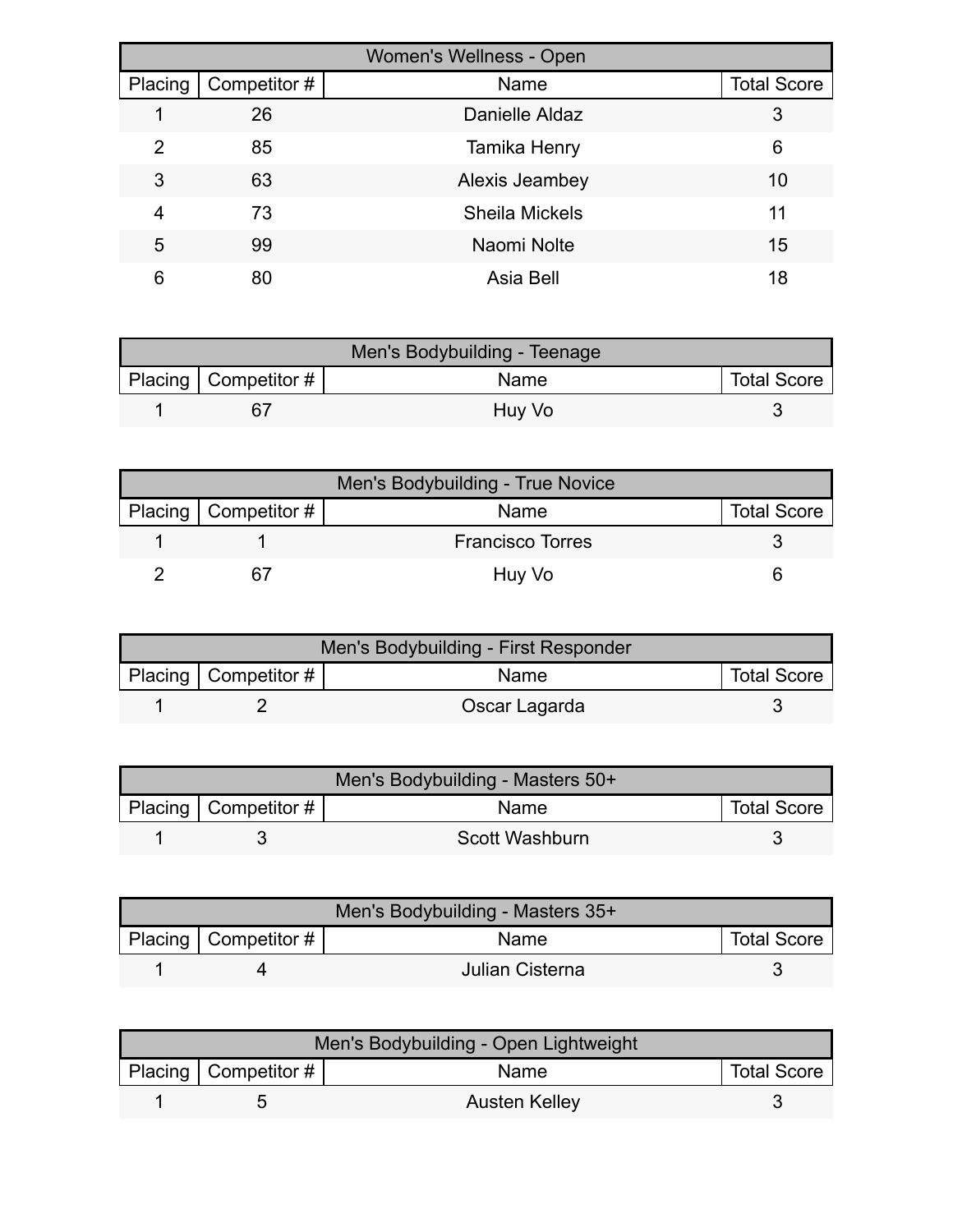|         |              | Women's Wellness - Open |                    |
|---------|--------------|-------------------------|--------------------|
| Placing | Competitor # | Name                    | <b>Total Score</b> |
|         | 26           | Danielle Aldaz          | 3                  |
| 2       | 85           | Tamika Henry            | 6                  |
| 3       | 63           | Alexis Jeambey          | 10                 |
| 4       | 73           | <b>Sheila Mickels</b>   | 11                 |
| 5       | 99           | Naomi Nolte             | 15                 |
| 6       | 80           | Asia Bell               | 18                 |

| Men's Bodybuilding - Teenage |                           |             |                    |  |
|------------------------------|---------------------------|-------------|--------------------|--|
|                              | Placing   Competitor $\#$ | <b>Name</b> | <b>Total Score</b> |  |
|                              | 67                        | Huy Vo      |                    |  |

| Men's Bodybuilding - True Novice |                        |                         |                    |  |
|----------------------------------|------------------------|-------------------------|--------------------|--|
|                                  | Placing   Competitor # | Name                    | <b>Total Score</b> |  |
|                                  |                        | <b>Francisco Torres</b> |                    |  |
|                                  |                        | Huy Vo                  |                    |  |

| Men's Bodybuilding - First Responder |                        |               |                    |  |
|--------------------------------------|------------------------|---------------|--------------------|--|
|                                      | Placing   Competitor # | <b>Name</b>   | <b>Total Score</b> |  |
|                                      |                        | Oscar Lagarda |                    |  |

| Men's Bodybuilding - Masters 50+ |                          |                |                    |  |
|----------------------------------|--------------------------|----------------|--------------------|--|
|                                  | Placing   Competitor $#$ | <b>Name</b>    | <b>Total Score</b> |  |
|                                  |                          | Scott Washburn |                    |  |

| Men's Bodybuilding - Masters 35+ |                           |                 |                    |  |
|----------------------------------|---------------------------|-----------------|--------------------|--|
|                                  | Placing   Competitor $\#$ | <b>Name</b>     | <b>Total Score</b> |  |
|                                  |                           | Julian Cisterna |                    |  |

| Men's Bodybuilding - Open Lightweight |                            |               |                    |  |
|---------------------------------------|----------------------------|---------------|--------------------|--|
|                                       | Placing   Competitor # $ $ | Name          | <b>Total Score</b> |  |
|                                       |                            | Austen Kelley |                    |  |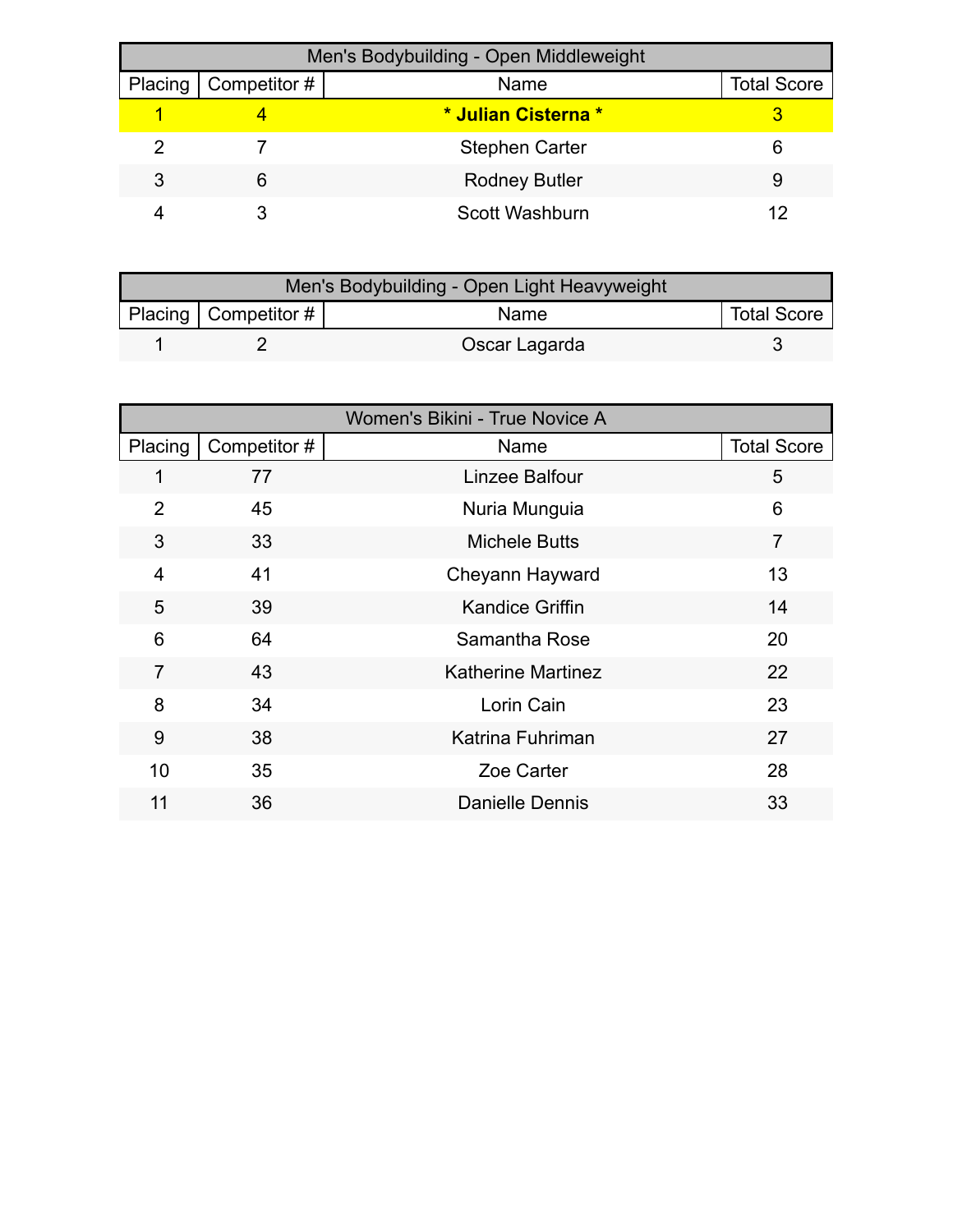| Men's Bodybuilding - Open Middleweight |                        |                       |                    |  |
|----------------------------------------|------------------------|-----------------------|--------------------|--|
|                                        | Placing   Competitor # | Name                  | <b>Total Score</b> |  |
|                                        |                        | * Julian Cisterna *   |                    |  |
|                                        |                        | <b>Stephen Carter</b> | 6                  |  |
| 3                                      | 6                      | <b>Rodney Butler</b>  | 9                  |  |
|                                        |                        | Scott Washburn        | 12                 |  |

| Men's Bodybuilding - Open Light Heavyweight |                          |               |                    |  |
|---------------------------------------------|--------------------------|---------------|--------------------|--|
|                                             | Placing   Competitor $#$ | Name          | <b>Total Score</b> |  |
|                                             |                          | Oscar Lagarda |                    |  |

| Women's Bikini - True Novice A |              |                           |                    |  |
|--------------------------------|--------------|---------------------------|--------------------|--|
| Placing                        | Competitor # | Name                      | <b>Total Score</b> |  |
| 1                              | 77           | Linzee Balfour            | 5                  |  |
| $\overline{2}$                 | 45           | Nuria Munguia             | 6                  |  |
| 3                              | 33           | <b>Michele Butts</b>      | $\overline{7}$     |  |
| $\overline{4}$                 | 41           | Cheyann Hayward           | 13                 |  |
| 5                              | 39           | <b>Kandice Griffin</b>    | 14                 |  |
| 6                              | 64           | Samantha Rose             | 20                 |  |
| $\overline{7}$                 | 43           | <b>Katherine Martinez</b> | 22                 |  |
| 8                              | 34           | Lorin Cain                | 23                 |  |
| 9                              | 38           | Katrina Fuhriman          | 27                 |  |
| 10                             | 35           | Zoe Carter                | 28                 |  |
| 11                             | 36           | <b>Danielle Dennis</b>    | 33                 |  |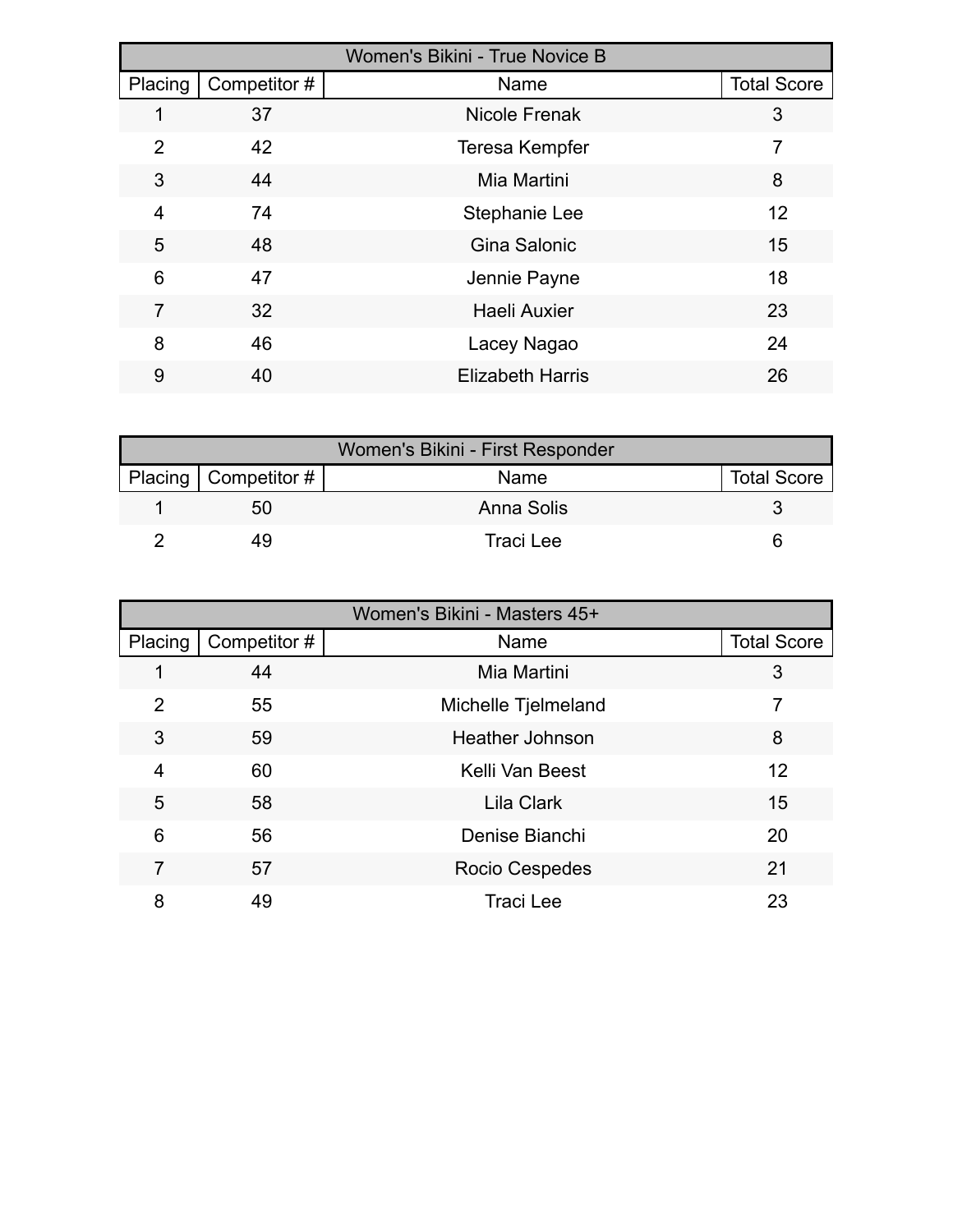|         | <b>Women's Bikini - True Novice B</b> |                         |                    |  |  |
|---------|---------------------------------------|-------------------------|--------------------|--|--|
| Placing | Competitor #                          | Name                    | <b>Total Score</b> |  |  |
| 1       | 37                                    | <b>Nicole Frenak</b>    | 3                  |  |  |
| 2       | 42                                    | <b>Teresa Kempfer</b>   | 7                  |  |  |
| 3       | 44                                    | Mia Martini             | 8                  |  |  |
| 4       | 74                                    | Stephanie Lee           | 12                 |  |  |
| 5       | 48                                    | Gina Salonic            | 15                 |  |  |
| 6       | 47                                    | Jennie Payne            | 18                 |  |  |
| 7       | 32                                    | <b>Haeli Auxier</b>     | 23                 |  |  |
| 8       | 46                                    | Lacey Nagao             | 24                 |  |  |
| 9       | 40                                    | <b>Elizabeth Harris</b> | 26                 |  |  |

| Women's Bikini - First Responder |                        |             |                    |  |
|----------------------------------|------------------------|-------------|--------------------|--|
|                                  | Placing   Competitor # | <b>Name</b> | <b>Total Score</b> |  |
|                                  | 50                     | Anna Solis  |                    |  |
|                                  | 49                     | Traci Lee   |                    |  |

| Women's Bikini - Masters 45+ |              |                        |                    |  |
|------------------------------|--------------|------------------------|--------------------|--|
| Placing                      | Competitor # | Name                   | <b>Total Score</b> |  |
|                              | 44           | Mia Martini            | 3                  |  |
| 2                            | 55           | Michelle Tjelmeland    | 7                  |  |
| 3                            | 59           | <b>Heather Johnson</b> | 8                  |  |
| 4                            | 60           | Kelli Van Beest        | 12                 |  |
| 5                            | 58           | Lila Clark             | 15                 |  |
| 6                            | 56           | Denise Bianchi         | 20                 |  |
| 7                            | 57           | Rocio Cespedes         | 21                 |  |
| 8                            | 49           | <b>Traci Lee</b>       | 23                 |  |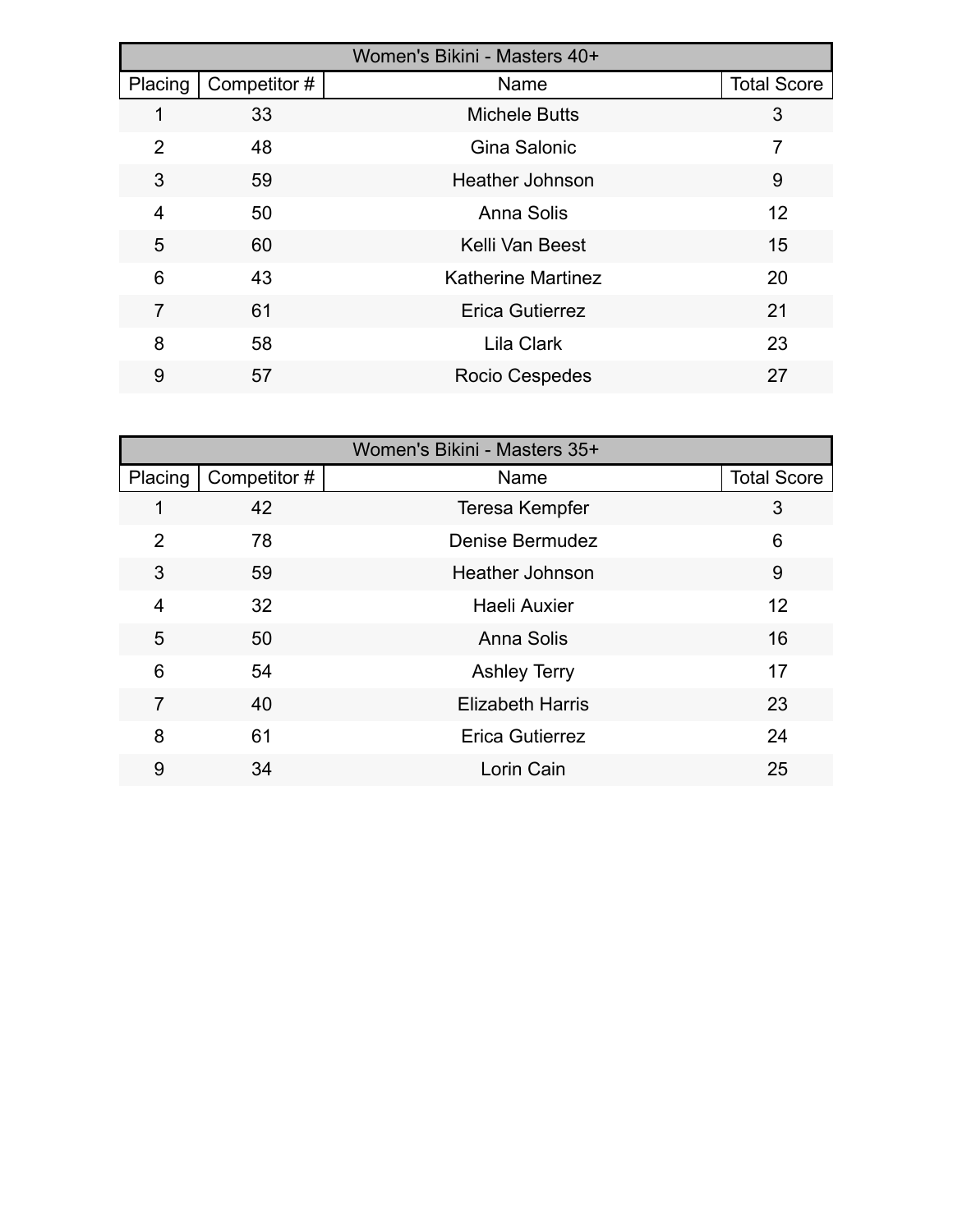|         | Women's Bikini - Masters 40+ |                           |                    |  |  |
|---------|------------------------------|---------------------------|--------------------|--|--|
| Placing | Competitor#                  | Name                      | <b>Total Score</b> |  |  |
| 1       | 33                           | <b>Michele Butts</b>      | 3                  |  |  |
| 2       | 48                           | Gina Salonic              | 7                  |  |  |
| 3       | 59                           | <b>Heather Johnson</b>    | 9                  |  |  |
| 4       | 50                           | Anna Solis                | 12                 |  |  |
| 5       | 60                           | Kelli Van Beest           | 15                 |  |  |
| 6       | 43                           | <b>Katherine Martinez</b> | 20                 |  |  |
| 7       | 61                           | <b>Erica Gutierrez</b>    | 21                 |  |  |
| 8       | 58                           | <b>Lila Clark</b>         | 23                 |  |  |
| 9       | 57                           | <b>Rocio Cespedes</b>     | 27                 |  |  |

|                |              | Women's Bikini - Masters 35+ |                    |
|----------------|--------------|------------------------------|--------------------|
| Placing        | Competitor # | Name                         | <b>Total Score</b> |
|                | 42           | <b>Teresa Kempfer</b>        | 3                  |
| $\overline{2}$ | 78           | <b>Denise Bermudez</b>       | 6                  |
| 3              | 59           | <b>Heather Johnson</b>       | 9                  |
| $\overline{4}$ | 32           | <b>Haeli Auxier</b>          | 12                 |
| 5              | 50           | Anna Solis                   | 16                 |
| 6              | 54           | <b>Ashley Terry</b>          | 17                 |
| $\overline{7}$ | 40           | <b>Elizabeth Harris</b>      | 23                 |
| 8              | 61           | <b>Erica Gutierrez</b>       | 24                 |
| 9              | 34           | Lorin Cain                   | 25                 |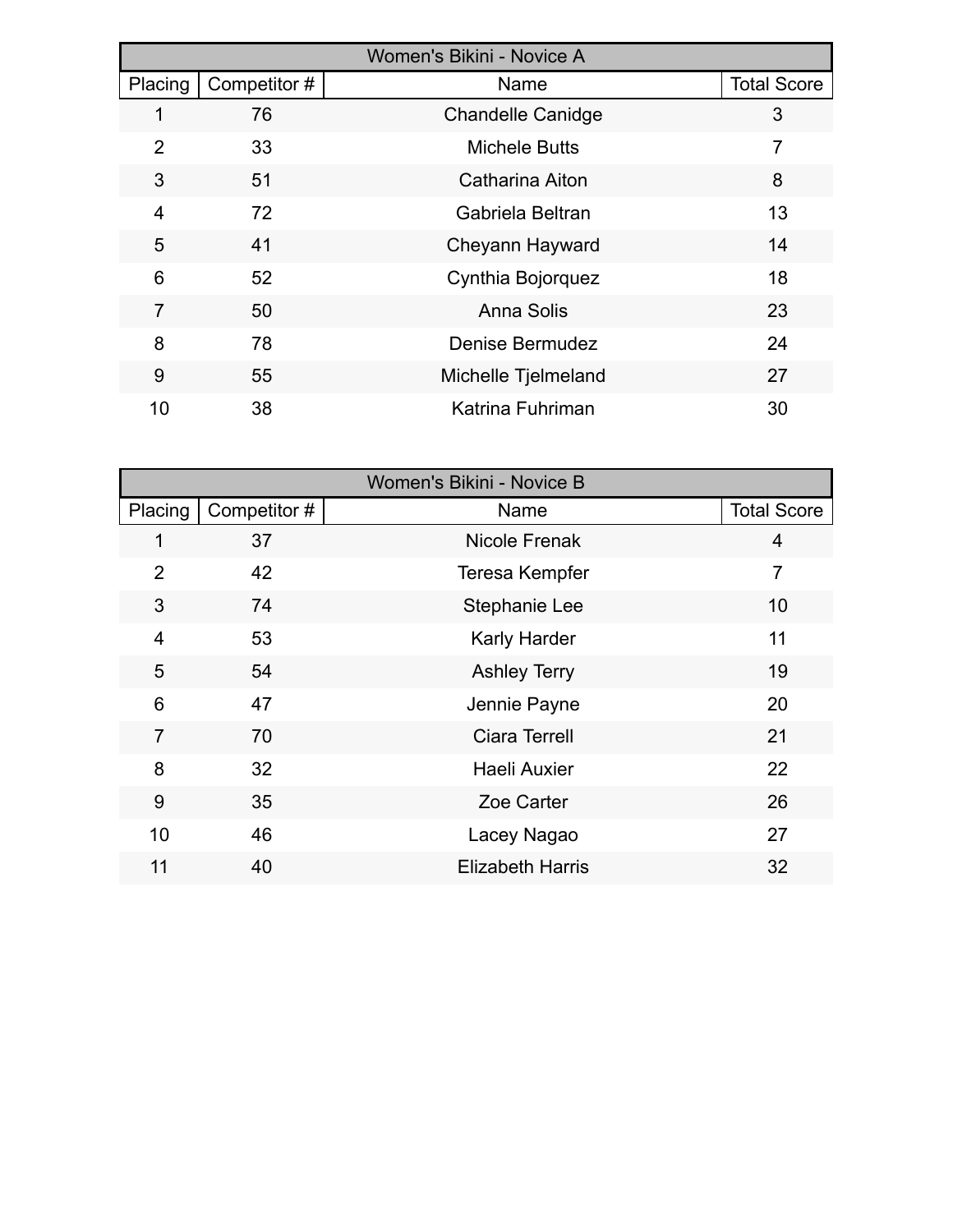| Women's Bikini - Novice A |              |                          |                    |  |
|---------------------------|--------------|--------------------------|--------------------|--|
| Placing                   | Competitor # | Name                     | <b>Total Score</b> |  |
|                           | 76           | <b>Chandelle Canidge</b> | 3                  |  |
| 2                         | 33           | <b>Michele Butts</b>     | $\overline{7}$     |  |
| 3                         | 51           | Catharina Aiton          | 8                  |  |
| $\overline{4}$            | 72           | Gabriela Beltran         | 13                 |  |
| 5                         | 41           | Cheyann Hayward          | 14                 |  |
| 6                         | 52           | Cynthia Bojorquez        | 18                 |  |
| $\overline{7}$            | 50           | Anna Solis               | 23                 |  |
| 8                         | 78           | <b>Denise Bermudez</b>   | 24                 |  |
| 9                         | 55           | Michelle Tjelmeland      | 27                 |  |
| 10                        | 38           | Katrina Fuhriman         | 30                 |  |

|                |              | Women's Bikini - Novice B |                    |
|----------------|--------------|---------------------------|--------------------|
| Placing        | Competitor # | Name                      | <b>Total Score</b> |
| 1              | 37           | <b>Nicole Frenak</b>      | 4                  |
| $\overline{2}$ | 42           | Teresa Kempfer            | $\overline{7}$     |
| 3              | 74           | Stephanie Lee             | 10                 |
| $\overline{4}$ | 53           | <b>Karly Harder</b>       | 11                 |
| 5              | 54           | <b>Ashley Terry</b>       | 19                 |
| 6              | 47           | Jennie Payne              | 20                 |
| $\overline{7}$ | 70           | <b>Ciara Terrell</b>      | 21                 |
| 8              | 32           | Haeli Auxier              | 22                 |
| 9              | 35           | Zoe Carter                | 26                 |
| 10             | 46           | Lacey Nagao               | 27                 |
| 11             | 40           | <b>Elizabeth Harris</b>   | 32                 |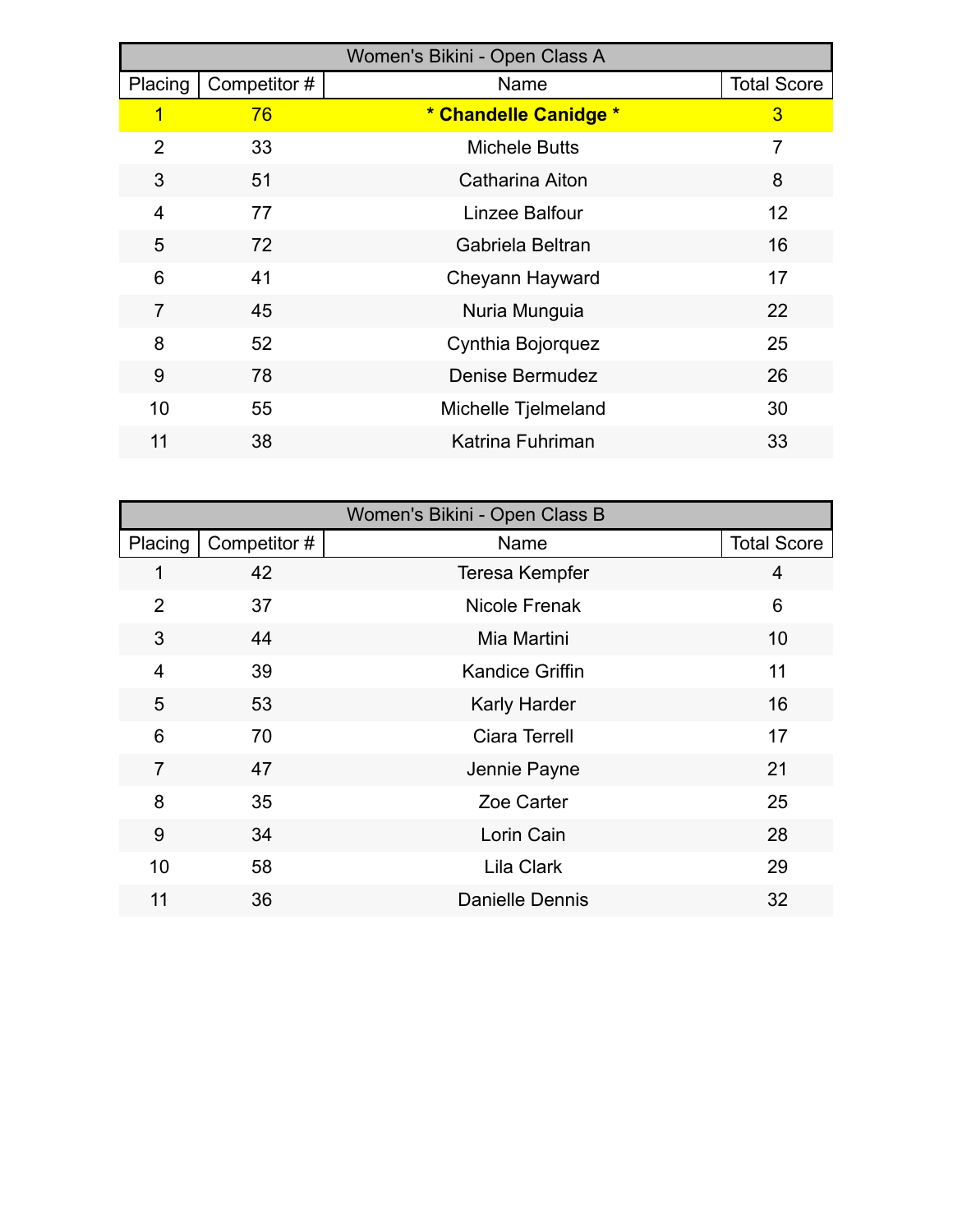|                |              | Women's Bikini - Open Class A |                    |
|----------------|--------------|-------------------------------|--------------------|
| Placing        | Competitor # | Name                          | <b>Total Score</b> |
| 1              | 76           | * Chandelle Canidge *         | 3                  |
| $\overline{2}$ | 33           | <b>Michele Butts</b>          | $\overline{7}$     |
| 3              | 51           | Catharina Aiton               | 8                  |
| 4              | 77           | Linzee Balfour                | 12                 |
| 5              | 72           | Gabriela Beltran              | 16                 |
| 6              | 41           | Cheyann Hayward               | 17                 |
| 7              | 45           | Nuria Munguia                 | 22                 |
| 8              | 52           | Cynthia Bojorquez             | 25                 |
| 9              | 78           | <b>Denise Bermudez</b>        | 26                 |
| 10             | 55           | Michelle Tjelmeland           | 30                 |
| 11             | 38           | Katrina Fuhriman              | 33                 |

|                |              | Women's Bikini - Open Class B |                    |
|----------------|--------------|-------------------------------|--------------------|
| Placing        | Competitor # | Name                          | <b>Total Score</b> |
| 1              | 42           | Teresa Kempfer                | 4                  |
| $\overline{2}$ | 37           | Nicole Frenak                 | 6                  |
| 3              | 44           | Mia Martini                   | 10                 |
| 4              | 39           | <b>Kandice Griffin</b>        | 11                 |
| 5              | 53           | <b>Karly Harder</b>           | 16                 |
| 6              | 70           | <b>Ciara Terrell</b>          | 17                 |
| $\overline{7}$ | 47           | Jennie Payne                  | 21                 |
| 8              | 35           | Zoe Carter                    | 25                 |
| 9              | 34           | Lorin Cain                    | 28                 |
| 10             | 58           | <b>Lila Clark</b>             | 29                 |
| 11             | 36           | <b>Danielle Dennis</b>        | 32                 |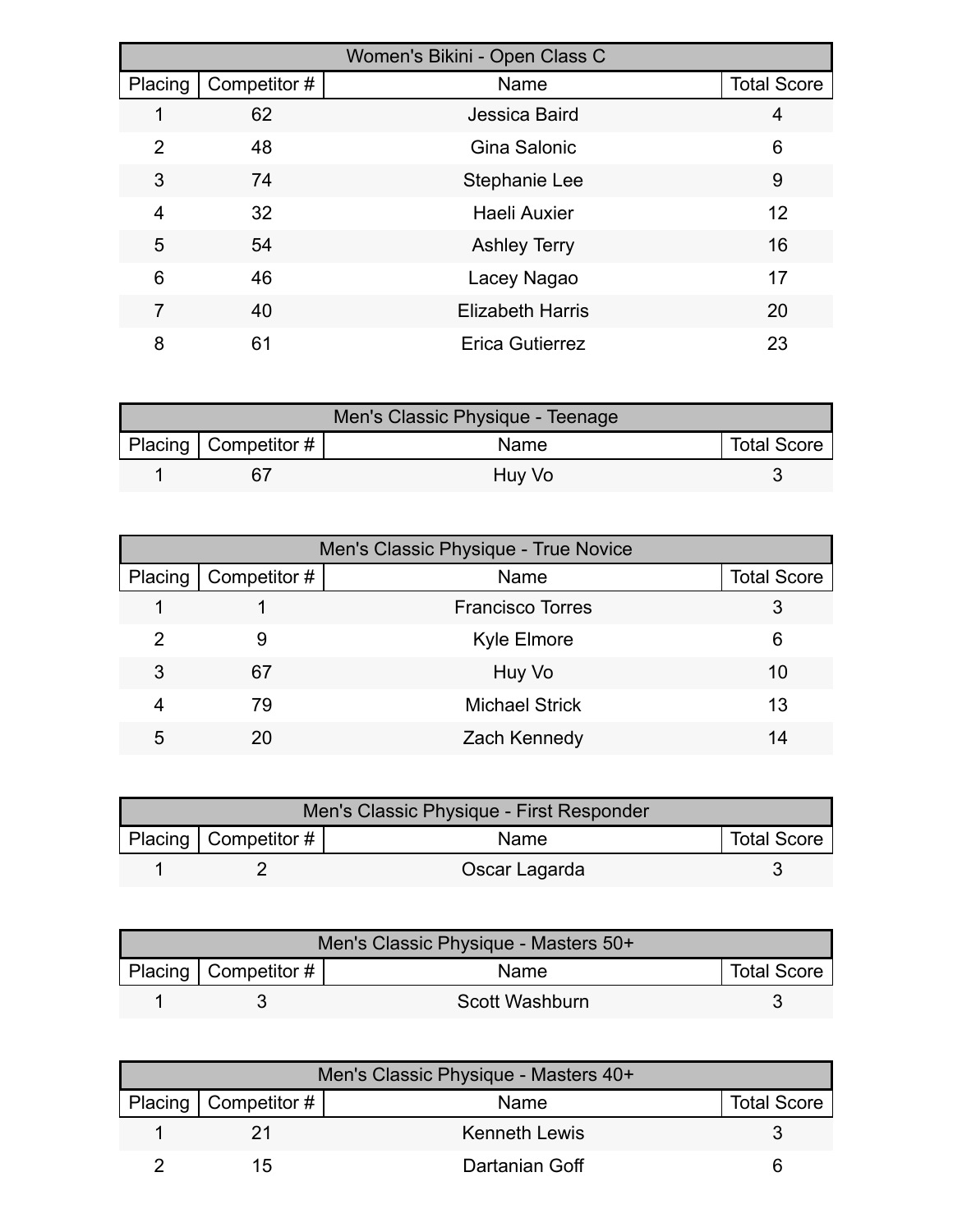|         | Women's Bikini - Open Class C |                         |                    |  |  |
|---------|-------------------------------|-------------------------|--------------------|--|--|
| Placing | Competitor #                  | Name                    | <b>Total Score</b> |  |  |
|         | 62                            | Jessica Baird           | 4                  |  |  |
| 2       | 48                            | Gina Salonic            | 6                  |  |  |
| 3       | 74                            | <b>Stephanie Lee</b>    | 9                  |  |  |
| 4       | 32                            | Haeli Auxier            | 12                 |  |  |
| 5       | 54                            | <b>Ashley Terry</b>     | 16                 |  |  |
| 6       | 46                            | Lacey Nagao             | 17                 |  |  |
| 7       | 40                            | <b>Elizabeth Harris</b> | 20                 |  |  |
| 8       | 61                            | <b>Erica Gutierrez</b>  | 23                 |  |  |

| Men's Classic Physique - Teenage |                                     |        |  |  |
|----------------------------------|-------------------------------------|--------|--|--|
|                                  | Placing   Competitor $\#$  <br>Name |        |  |  |
|                                  | 67                                  | Huy Vo |  |  |

| Men's Classic Physique - True Novice |              |                         |                    |  |
|--------------------------------------|--------------|-------------------------|--------------------|--|
| Placing                              | Competitor # | Name                    | <b>Total Score</b> |  |
|                                      |              | <b>Francisco Torres</b> | 3                  |  |
| 2                                    | 9            | <b>Kyle Elmore</b>      | 6                  |  |
| 3                                    | 67           | Huy Vo                  | 10                 |  |
| 4                                    | 79           | <b>Michael Strick</b>   | 13                 |  |
| 5                                    | 20           | Zach Kennedy            | 14                 |  |

| Men's Classic Physique - First Responder |                    |               |  |  |
|------------------------------------------|--------------------|---------------|--|--|
| Placing   Competitor $#$                 | <b>Total Score</b> |               |  |  |
|                                          |                    | Oscar Lagarda |  |  |

| Men's Classic Physique - Masters 50+ |                    |                |  |  |
|--------------------------------------|--------------------|----------------|--|--|
| Placing   Competitor $\#$            | <b>Total Score</b> |                |  |  |
|                                      |                    | Scott Washburn |  |  |

| Men's Classic Physique - Masters 40+ |                        |                      |                    |  |
|--------------------------------------|------------------------|----------------------|--------------------|--|
|                                      | Placing   Competitor # | <b>Name</b>          | <b>Total Score</b> |  |
|                                      |                        | <b>Kenneth Lewis</b> |                    |  |
|                                      | 1.5                    | Dartanian Goff       |                    |  |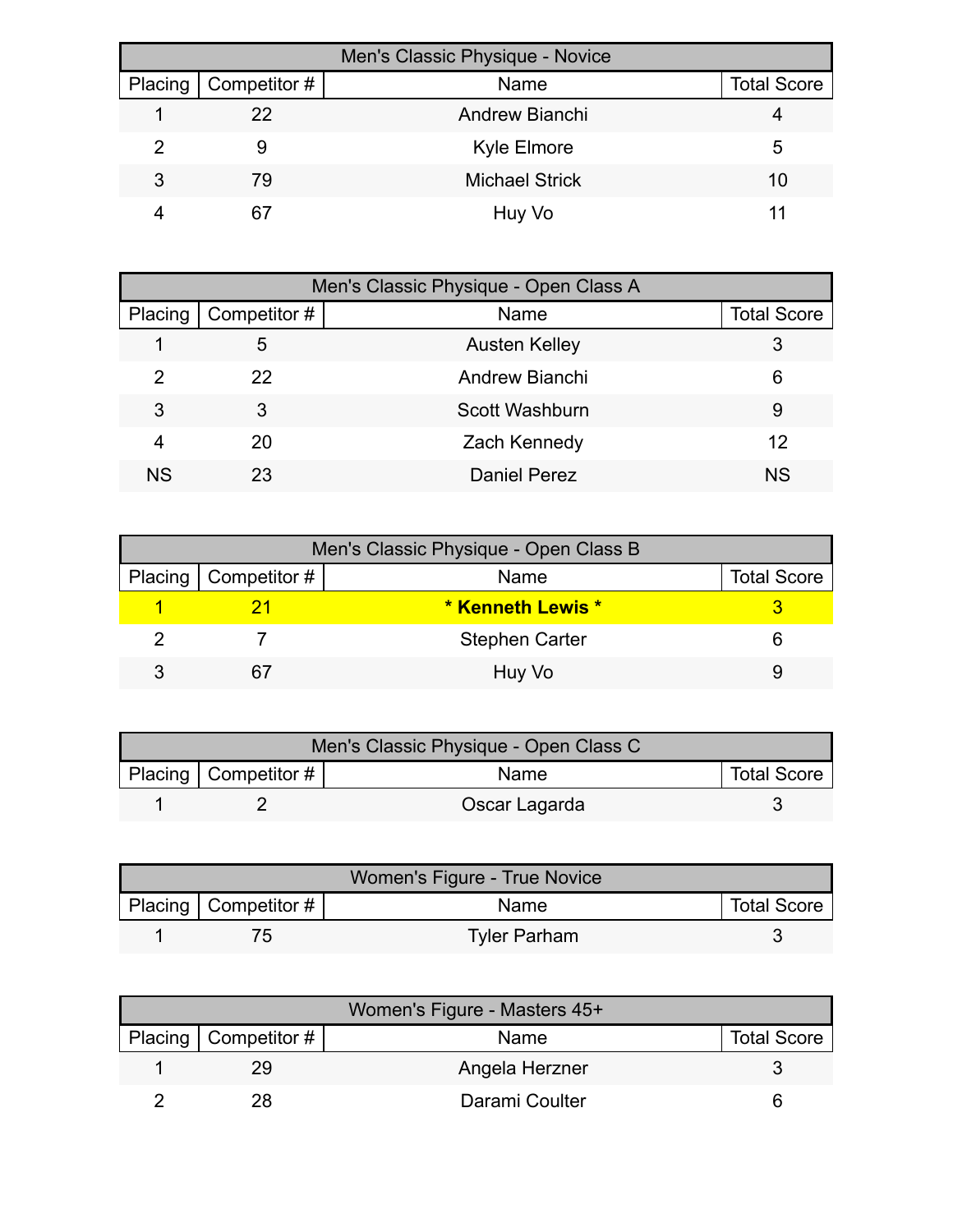| Men's Classic Physique - Novice |              |                       |                    |  |
|---------------------------------|--------------|-----------------------|--------------------|--|
| Placing                         | Competitor # | Name                  | <b>Total Score</b> |  |
|                                 | 22           | Andrew Bianchi        |                    |  |
|                                 | 9            | Kyle Elmore           | 5                  |  |
| 3                               | 79           | <b>Michael Strick</b> | 10                 |  |
|                                 | 67           | Huy Vo                |                    |  |

|         | Men's Classic Physique - Open Class A |                      |                    |  |  |
|---------|---------------------------------------|----------------------|--------------------|--|--|
| Placing | Competitor #                          | Name                 | <b>Total Score</b> |  |  |
|         | 5                                     | <b>Austen Kelley</b> | 3                  |  |  |
| 2       | 22                                    | Andrew Bianchi       | 6                  |  |  |
| 3       | 3                                     | Scott Washburn       | 9                  |  |  |
| 4       | 20                                    | Zach Kennedy         | 12                 |  |  |
| ΝS      | 23                                    | <b>Daniel Perez</b>  | <b>NS</b>          |  |  |

| Men's Classic Physique - Open Class B |                        |                          |                    |  |
|---------------------------------------|------------------------|--------------------------|--------------------|--|
|                                       | Placing   Competitor # | Name                     | <b>Total Score</b> |  |
|                                       |                        | <b>* Kenneth Lewis *</b> |                    |  |
|                                       |                        | <b>Stephen Carter</b>    |                    |  |
|                                       |                        | Huy Vo                   |                    |  |

| Men's Classic Physique - Open Class C                           |  |               |  |  |
|-----------------------------------------------------------------|--|---------------|--|--|
| Placing   Competitor $#$  <br><b>Total Score</b><br><b>Name</b> |  |               |  |  |
|                                                                 |  | Oscar Lagarda |  |  |

| Women's Figure - True Novice |                          |                     |                    |
|------------------------------|--------------------------|---------------------|--------------------|
|                              | Placing   Competitor $#$ | Name                | <b>Total Score</b> |
|                              | $\sqrt{2}$               | <b>Tyler Parham</b> |                    |

| Women's Figure - Masters 45+ |                |                    |  |  |
|------------------------------|----------------|--------------------|--|--|
| Placing   Competitor #       | Name           | <b>Total Score</b> |  |  |
| 29                           | Angela Herzner |                    |  |  |
| 28                           | Darami Coulter |                    |  |  |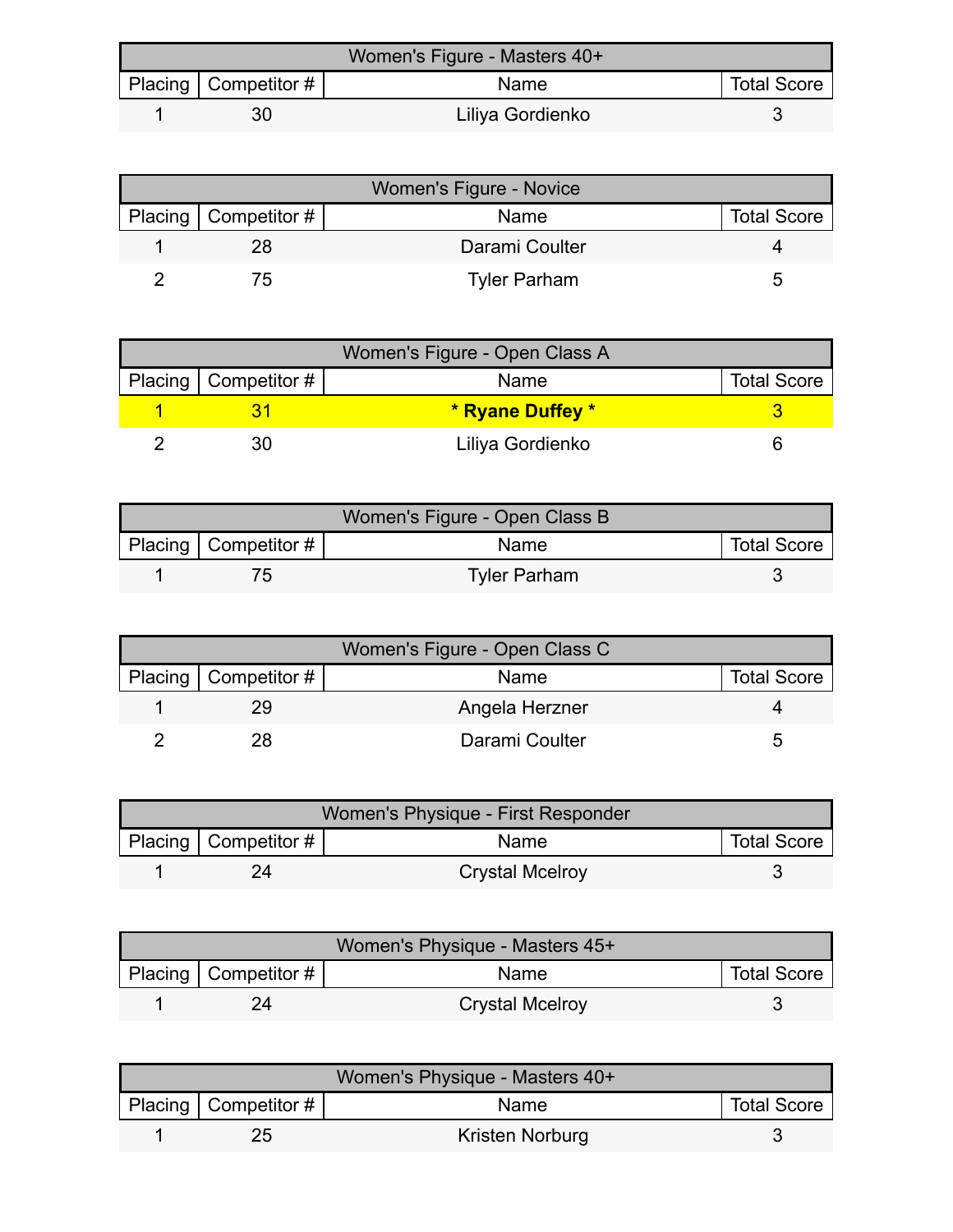| Women's Figure - Masters 40+ |                        |                  |                    |  |
|------------------------------|------------------------|------------------|--------------------|--|
|                              | Placing   Competitor # | <b>Name</b>      | <b>Total Score</b> |  |
|                              | 30                     | Liliya Gordienko |                    |  |

| Women's Figure - Novice |                        |                     |                    |  |
|-------------------------|------------------------|---------------------|--------------------|--|
|                         | Placing   Competitor # | Name                | <b>Total Score</b> |  |
|                         | 28                     | Darami Coulter      |                    |  |
|                         | $\sqrt{2}$             | <b>Tyler Parham</b> |                    |  |

| Women's Figure - Open Class A |                        |                  |                    |  |
|-------------------------------|------------------------|------------------|--------------------|--|
|                               | Placing   Competitor # | Name             | <b>Total Score</b> |  |
|                               |                        | * Ryane Duffey * |                    |  |
|                               |                        | Liliya Gordienko |                    |  |

| Women's Figure - Open Class B |                          |                     |                    |  |
|-------------------------------|--------------------------|---------------------|--------------------|--|
|                               | Placing   Competitor $#$ | Name                | <b>Total Score</b> |  |
|                               |                          | <b>Tyler Parham</b> |                    |  |

| Women's Figure - Open Class C |                        |                |                    |  |
|-------------------------------|------------------------|----------------|--------------------|--|
|                               | Placing   Competitor # | Name           | <b>Total Score</b> |  |
|                               |                        | Angela Herzner |                    |  |
|                               | 28                     | Darami Coulter | ∽                  |  |

| Women's Physique - First Responder |                           |                        |                    |  |
|------------------------------------|---------------------------|------------------------|--------------------|--|
|                                    | Placing   Competitor $\#$ | <b>Name</b>            | <b>Total Score</b> |  |
|                                    |                           | <b>Crystal Mcelroy</b> |                    |  |

| Women's Physique - Masters 45+ |                        |                        |                    |  |
|--------------------------------|------------------------|------------------------|--------------------|--|
|                                | Placing   Competitor # | <b>Name</b>            | <b>Total Score</b> |  |
|                                | 24                     | <b>Crystal Mcelroy</b> |                    |  |

| Women's Physique - Masters 40+ |                          |                 |                    |  |
|--------------------------------|--------------------------|-----------------|--------------------|--|
|                                | Placing   Competitor $#$ | Name            | <b>Total Score</b> |  |
|                                |                          | Kristen Norburg |                    |  |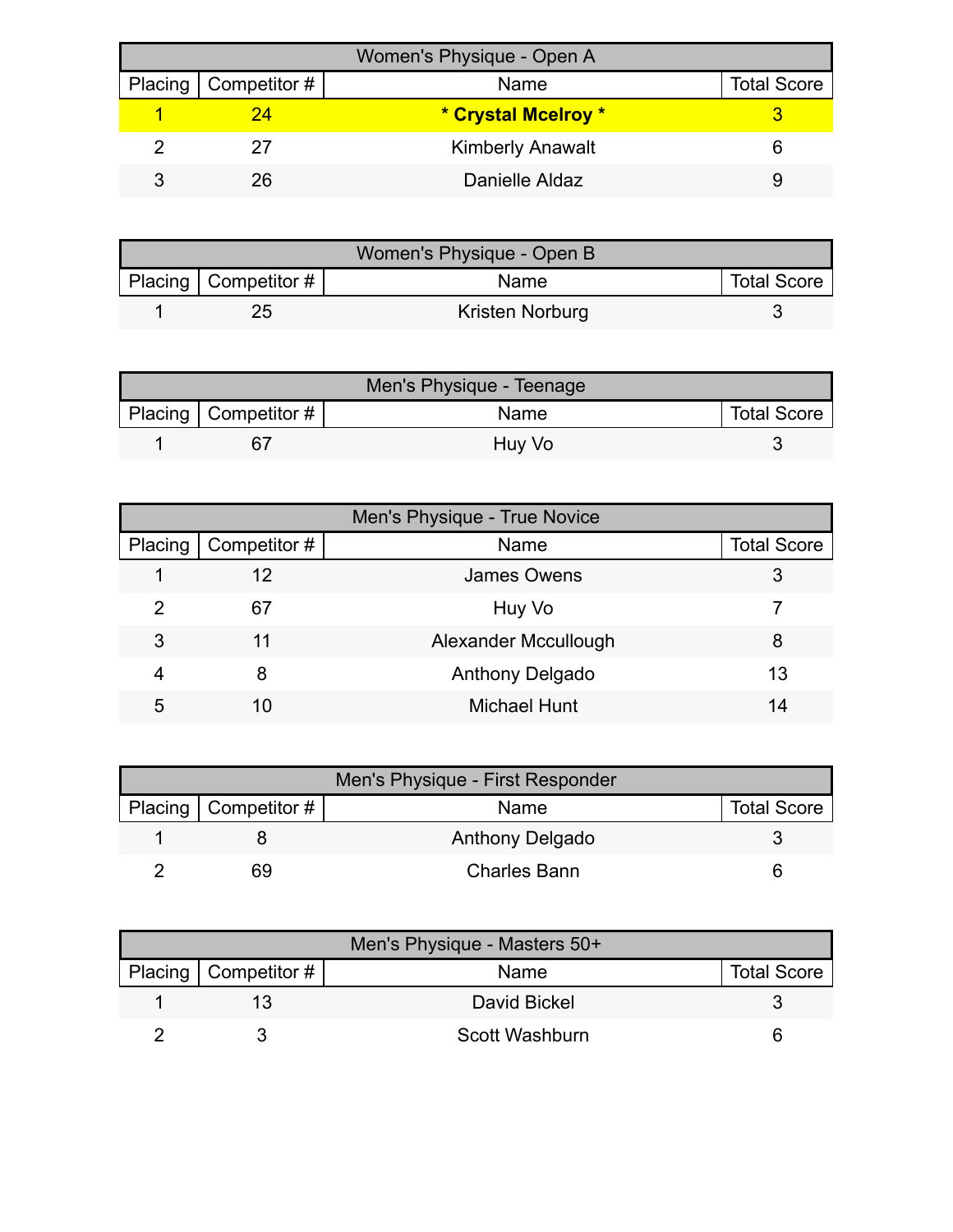| Women's Physique - Open A |                              |                         |                    |  |
|---------------------------|------------------------------|-------------------------|--------------------|--|
|                           | Placing $\vert$ Competitor # | Name                    | <b>Total Score</b> |  |
|                           | 24                           | * Crystal Mcelroy *     |                    |  |
|                           |                              | <b>Kimberly Anawalt</b> |                    |  |
|                           | 26                           | Danielle Aldaz          |                    |  |

| Women's Physique - Open B |                          |                 |                    |  |
|---------------------------|--------------------------|-----------------|--------------------|--|
|                           | Placing   Competitor $#$ | <b>Name</b>     | <b>Total Score</b> |  |
|                           |                          | Kristen Norburg |                    |  |

| Men's Physique - Teenage |                        |        |                    |  |
|--------------------------|------------------------|--------|--------------------|--|
|                          | Placing   Competitor # | Name   | <b>Total Score</b> |  |
|                          | 6 <sup>-</sup>         | Huy Vo |                    |  |

| Men's Physique - True Novice |              |                      |                    |  |
|------------------------------|--------------|----------------------|--------------------|--|
| Placing                      | Competitor # | Name                 | <b>Total Score</b> |  |
|                              | 12           | <b>James Owens</b>   |                    |  |
| 2                            | 67           | Huy Vo               |                    |  |
| 3                            | 11           | Alexander Mccullough | 8                  |  |
| 4                            | 8            | Anthony Delgado      | 13                 |  |
| 5                            | 10           | <b>Michael Hunt</b>  | 14                 |  |

| Men's Physique - First Responder |                        |                     |                    |
|----------------------------------|------------------------|---------------------|--------------------|
|                                  | Placing   Competitor # | Name                | <b>Total Score</b> |
|                                  |                        | Anthony Delgado     |                    |
|                                  | 69                     | <b>Charles Bann</b> |                    |

| Men's Physique - Masters 50+ |                              |                |                    |  |
|------------------------------|------------------------------|----------------|--------------------|--|
|                              | Placing $\vert$ Competitor # | Name           | <b>Total Score</b> |  |
|                              |                              | David Bickel   |                    |  |
|                              |                              | Scott Washburn |                    |  |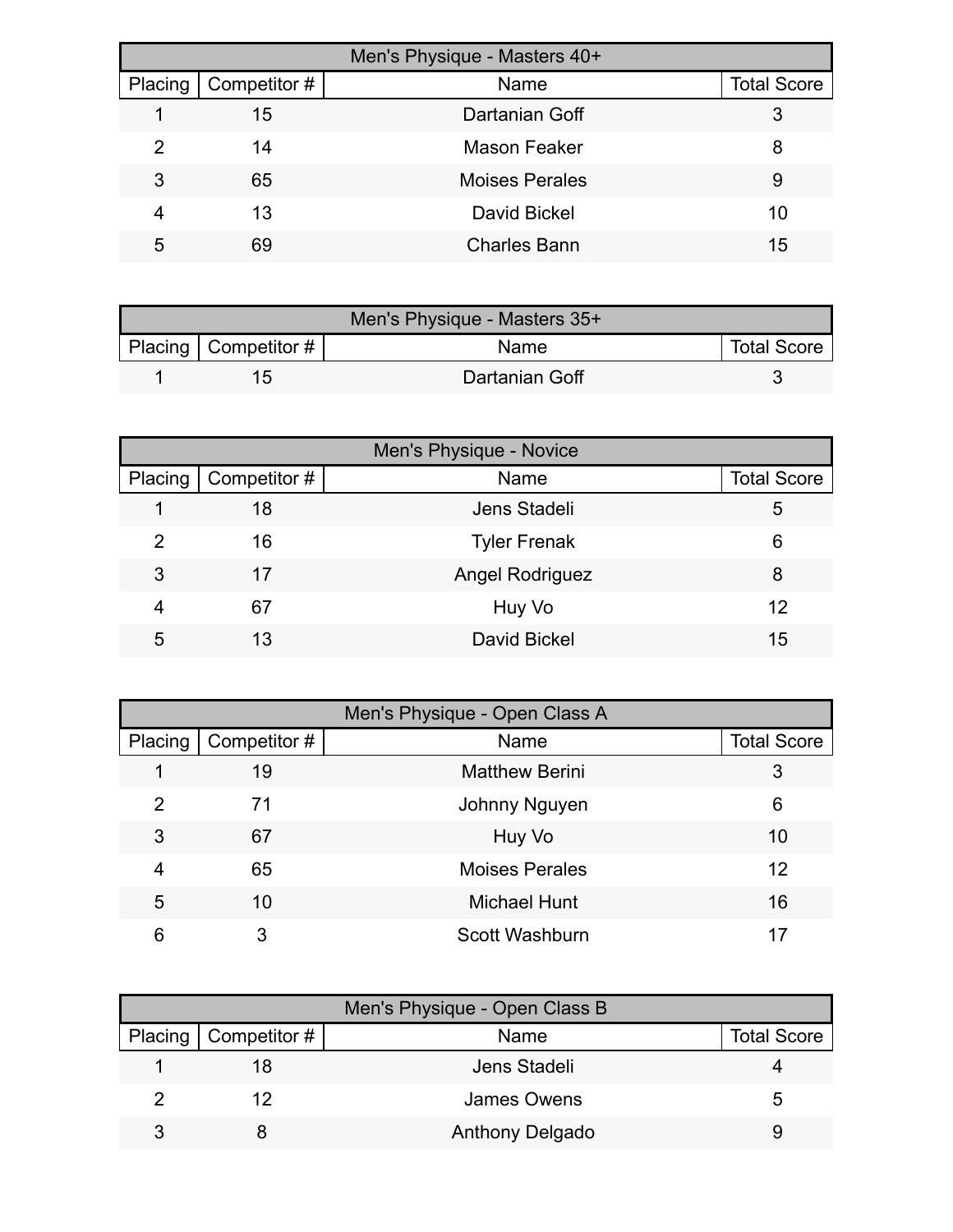| Men's Physique - Masters 40+ |              |                       |                    |  |
|------------------------------|--------------|-----------------------|--------------------|--|
| Placing                      | Competitor # | Name                  | <b>Total Score</b> |  |
|                              | 15           | Dartanian Goff        | 3                  |  |
| 2                            | 14           | Mason Feaker          | 8                  |  |
| 3                            | 65           | <b>Moises Perales</b> | 9                  |  |
| 4                            | 13           | <b>David Bickel</b>   | 10                 |  |
| 5                            | 69           | <b>Charles Bann</b>   | 15                 |  |

| Men's Physique - Masters 35+ |                           |                |                    |  |
|------------------------------|---------------------------|----------------|--------------------|--|
|                              | Placing   Competitor $\#$ | <b>Name</b>    | <b>Total Score</b> |  |
|                              | 15                        | Dartanian Goff |                    |  |

| Men's Physique - Novice |              |                        |                    |  |
|-------------------------|--------------|------------------------|--------------------|--|
| Placing                 | Competitor # | Name                   | <b>Total Score</b> |  |
|                         | 18           | Jens Stadeli           | 5                  |  |
| 2                       | 16           | <b>Tyler Frenak</b>    | 6                  |  |
| 3                       | 17           | <b>Angel Rodriguez</b> | 8                  |  |
| 4                       | 67           | Huy Vo                 | 12                 |  |
| 5                       | 13           | <b>David Bickel</b>    | 15                 |  |

| Men's Physique - Open Class A |              |                       |                    |  |
|-------------------------------|--------------|-----------------------|--------------------|--|
| Placing                       | Competitor # | Name                  | <b>Total Score</b> |  |
|                               | 19           | <b>Matthew Berini</b> | 3                  |  |
| 2                             | 71           | Johnny Nguyen         | 6                  |  |
| 3                             | 67           | Huy Vo                | 10                 |  |
| 4                             | 65           | <b>Moises Perales</b> | 12                 |  |
| 5                             | 10           | <b>Michael Hunt</b>   | 16                 |  |
| 6                             | 3            | Scott Washburn        |                    |  |

| Men's Physique - Open Class B |                        |                        |                    |
|-------------------------------|------------------------|------------------------|--------------------|
|                               | Placing   Competitor # | Name                   | <b>Total Score</b> |
|                               | 18                     | Jens Stadeli           |                    |
|                               | 12                     | James Owens            |                    |
|                               |                        | <b>Anthony Delgado</b> |                    |